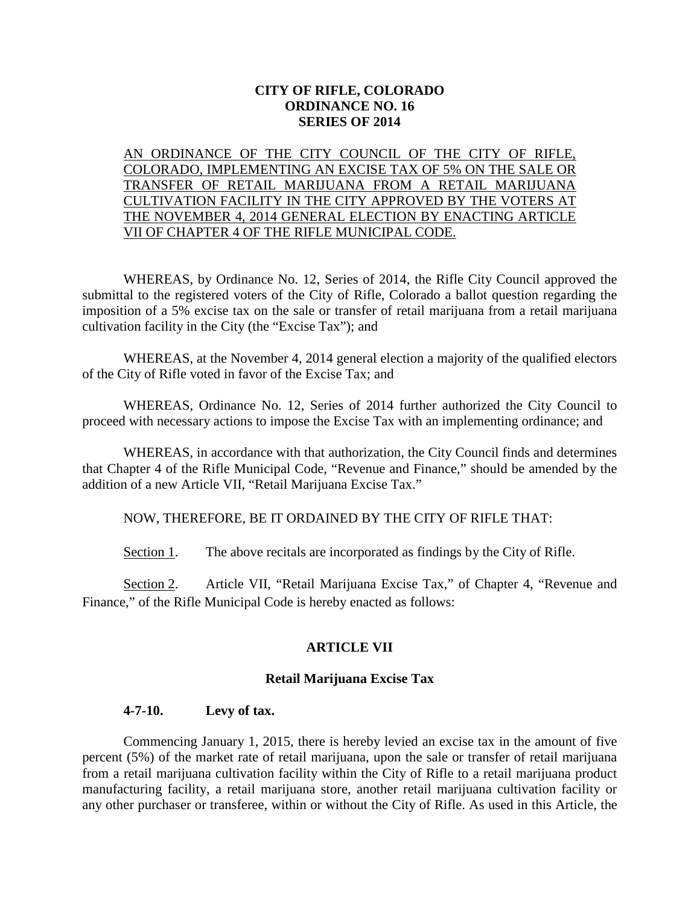## **CITY OF RIFLE, COLORADO ORDINANCE NO. 16 SERIES OF 2014**

# AN ORDINANCE OF THE CITY COUNCIL OF THE CITY OF RIFLE, COLORADO, IMPLEMENTING AN EXCISE TAX OF 5% ON THE SALE OR TRANSFER OF RETAIL MARIJUANA FROM A RETAIL MARIJUANA CULTIVATION FACILITY IN THE CITY APPROVED BY THE VOTERS AT THE NOVEMBER 4, 2014 GENERAL ELECTION BY ENACTING ARTICLE VII OF CHAPTER 4 OF THE RIFLE MUNICIPAL CODE.

WHEREAS, by Ordinance No. 12, Series of 2014, the Rifle City Council approved the submittal to the registered voters of the City of Rifle, Colorado a ballot question regarding the imposition of a 5% excise tax on the sale or transfer of retail marijuana from a retail marijuana cultivation facility in the City (the "Excise Tax"); and

WHEREAS, at the November 4, 2014 general election a majority of the qualified electors of the City of Rifle voted in favor of the Excise Tax; and

WHEREAS, Ordinance No. 12, Series of 2014 further authorized the City Council to proceed with necessary actions to impose the Excise Tax with an implementing ordinance; and

WHEREAS, in accordance with that authorization, the City Council finds and determines that Chapter 4 of the Rifle Municipal Code, "Revenue and Finance," should be amended by the addition of a new Article VII, "Retail Marijuana Excise Tax."

NOW, THEREFORE, BE IT ORDAINED BY THE CITY OF RIFLE THAT:

Section 1. The above recitals are incorporated as findings by the City of Rifle.

Section 2. Article VII, "Retail Marijuana Excise Tax," of Chapter 4, "Revenue and Finance," of the Rifle Municipal Code is hereby enacted as follows:

# **ARTICLE VII**

### **Retail Marijuana Excise Tax**

### **4-7-10. Levy of tax.**

Commencing January 1, 2015, there is hereby levied an excise tax in the amount of five percent (5%) of the market rate of retail marijuana, upon the sale or transfer of retail marijuana from a retail marijuana cultivation facility within the City of Rifle to a retail marijuana product manufacturing facility, a retail marijuana store, another retail marijuana cultivation facility or any other purchaser or transferee, within or without the City of Rifle. As used in this Article, the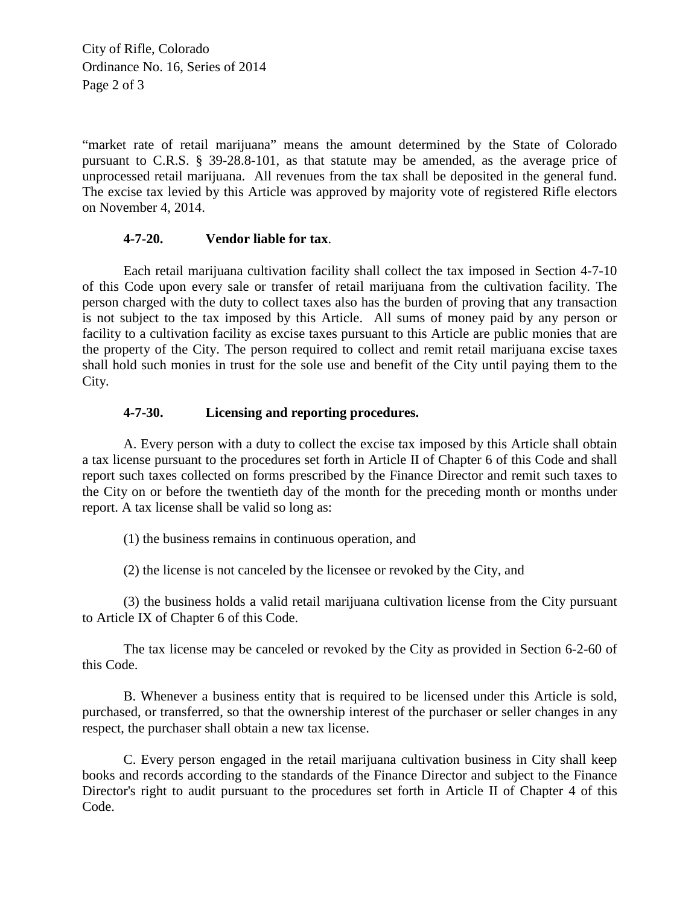City of Rifle, Colorado Ordinance No. 16, Series of 2014 Page 2 of 3

"market rate of retail marijuana" means the amount determined by the State of Colorado pursuant to C.R.S. § 39-28.8-101, as that statute may be amended, as the average price of unprocessed retail marijuana. All revenues from the tax shall be deposited in the general fund. The excise tax levied by this Article was approved by majority vote of registered Rifle electors on November 4, 2014.

### **4-7-20. Vendor liable for tax**.

Each retail marijuana cultivation facility shall collect the tax imposed in Section 4-7-10 of this Code upon every sale or transfer of retail marijuana from the cultivation facility. The person charged with the duty to collect taxes also has the burden of proving that any transaction is not subject to the tax imposed by this Article. All sums of money paid by any person or facility to a cultivation facility as excise taxes pursuant to this Article are public monies that are the property of the City. The person required to collect and remit retail marijuana excise taxes shall hold such monies in trust for the sole use and benefit of the City until paying them to the City.

### **4-7-30. Licensing and reporting procedures.**

A. Every person with a duty to collect the excise tax imposed by this Article shall obtain a tax license pursuant to the procedures set forth in Article II of Chapter 6 of this Code and shall report such taxes collected on forms prescribed by the Finance Director and remit such taxes to the City on or before the twentieth day of the month for the preceding month or months under report. A tax license shall be valid so long as:

(1) the business remains in continuous operation, and

(2) the license is not canceled by the licensee or revoked by the City, and

(3) the business holds a valid retail marijuana cultivation license from the City pursuant to Article IX of Chapter 6 of this Code.

The tax license may be canceled or revoked by the City as provided in Section 6-2-60 of this Code.

B. Whenever a business entity that is required to be licensed under this Article is sold, purchased, or transferred, so that the ownership interest of the purchaser or seller changes in any respect, the purchaser shall obtain a new tax license.

C. Every person engaged in the retail marijuana cultivation business in City shall keep books and records according to the standards of the Finance Director and subject to the Finance Director's right to audit pursuant to the procedures set forth in Article II of Chapter 4 of this Code.